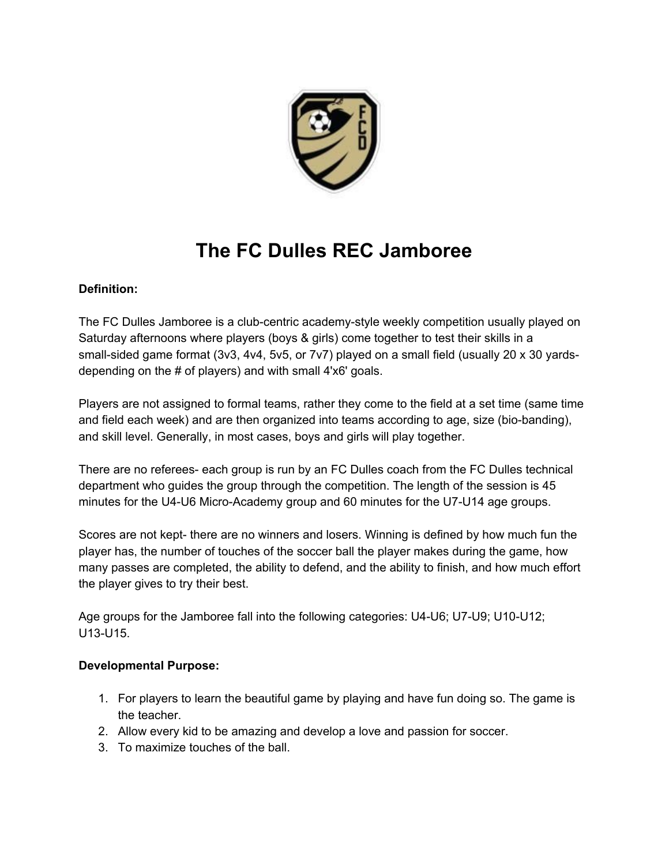

## **The FC Dulles REC Jamboree**

## **Definition:**

The FC Dulles Jamboree is a club-centric academy-style weekly competition usually played on Saturday afternoons where players (boys & girls) come together to test their skills in a small-sided game format (3v3, 4v4, 5v5, or 7v7) played on a small field (usually 20 x 30 yardsdepending on the # of players) and with small 4'x6' goals.

Players are not assigned to formal teams, rather they come to the field at a set time (same time and field each week) and are then organized into teams according to age, size (bio-banding), and skill level. Generally, in most cases, boys and girls will play together.

There are no referees- each group is run by an FC Dulles coach from the FC Dulles technical department who guides the group through the competition. The length of the session is 45 minutes for the U4-U6 Micro-Academy group and 60 minutes for the U7-U14 age groups.

Scores are not kept- there are no winners and losers. Winning is defined by how much fun the player has, the number of touches of the soccer ball the player makes during the game, how many passes are completed, the ability to defend, and the ability to finish, and how much effort the player gives to try their best.

Age groups for the Jamboree fall into the following categories: U4-U6; U7-U9; U10-U12; U13-U15.

## **Developmental Purpose:**

- 1. For players to learn the beautiful game by playing and have fun doing so. The game is the teacher.
- 2. Allow every kid to be amazing and develop a love and passion for soccer.
- 3. To maximize touches of the ball.